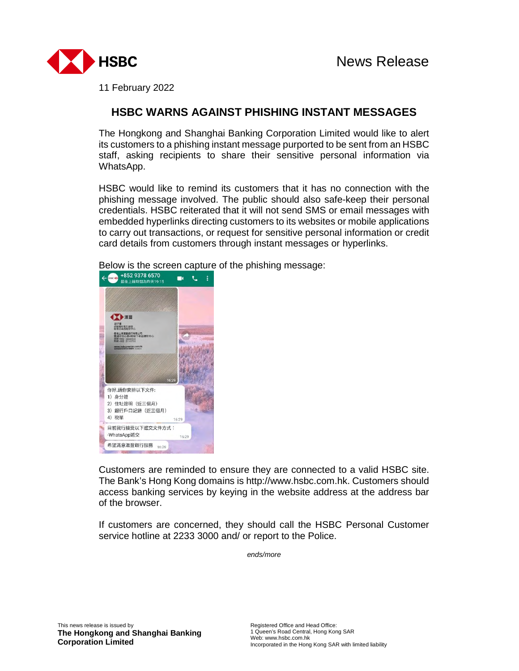

11 February 2022

## **HSBC WARNS AGAINST PHISHING INSTANT MESSAGES**

The Hongkong and Shanghai Banking Corporation Limited would like to alert its customers to a phishing instant message purported to be sent from an HSBC staff, asking recipients to share their sensitive personal information via WhatsApp.

HSBC would like to remind its customers that it has no connection with the phishing message involved. The public should also safe-keep their personal credentials. HSBC reiterated that it will not send SMS or email messages with embedded hyperlinks directing customers to its websites or mobile applications to carry out transactions, or request for sensitive personal information or credit card details from customers through instant messages or hyperlinks.



Below is the screen capture of the phishing message:<br> $\leftarrow$   $\leftarrow$   $\leftarrow$   $\leftarrow$   $\leftarrow$   $\leftarrow$   $\leftarrow$   $\leftarrow$   $\leftarrow$   $\leftarrow$   $\leftarrow$   $\leftarrow$   $\leftarrow$   $\leftarrow$   $\leftarrow$   $\leftarrow$   $\leftarrow$   $\leftarrow$   $\leftarrow$   $\leftarrow$   $\leftarrow$   $\leftarrow$   $\leftarrow$   $\leftarrow$   $\leftarrow$   $\leftarrow$   $\leftarrow$   $\leftarrow$ 

Customers are reminded to ensure they are connected to a valid HSBC site. The Bank's Hong Kong domains is http://www.hsbc.com.hk. Customers should access banking services by keying in the website address at the address bar of the browser.

If customers are concerned, they should call the HSBC Personal Customer service hotline at 2233 3000 and/ or report to the Police.

*ends/more*